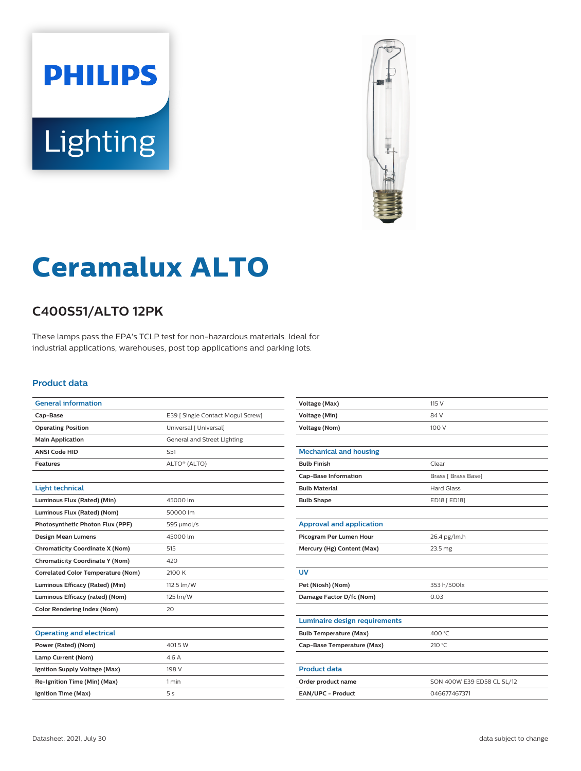# **PHILIPS Lighting**



# **Ceramalux ALTO**

## **C400S51/ALTO 12PK**

These lamps pass the EPA's TCLP test for non-hazardous materials. Ideal for industrial applications, warehouses, post top applications and parking lots.

#### **Product data**

| <b>General information</b>                |                                   |
|-------------------------------------------|-----------------------------------|
| Cap-Base                                  | E39   Single Contact Mogul Screw] |
| <b>Operating Position</b>                 | Universal [ Universal]            |
| <b>Main Application</b>                   | General and Street Lighting       |
| <b>ANSI Code HID</b>                      | S <sub>51</sub>                   |
| <b>Features</b>                           | ALTO <sup>®</sup> (ALTO)          |
|                                           |                                   |
| <b>Light technical</b>                    |                                   |
| Luminous Flux (Rated) (Min)               | 45000 lm                          |
| Luminous Flux (Rated) (Nom)               | 50000 lm                          |
| Photosynthetic Photon Flux (PPF)          | 595 µmol/s                        |
| <b>Design Mean Lumens</b>                 | 45000 lm                          |
| <b>Chromaticity Coordinate X (Nom)</b>    | 515                               |
| <b>Chromaticity Coordinate Y (Nom)</b>    | 420                               |
| <b>Correlated Color Temperature (Nom)</b> | 2100 K                            |
| Luminous Efficacy (Rated) (Min)           | 112.5 lm/W                        |
| Luminous Efficacy (rated) (Nom)           | 125 lm/W                          |
| <b>Color Rendering Index (Nom)</b>        | 20                                |
|                                           |                                   |
| <b>Operating and electrical</b>           |                                   |
| Power (Rated) (Nom)                       | 401.5 W                           |
| Lamp Current (Nom)                        | 4.6 A                             |
| Ignition Supply Voltage (Max)             | 198 V                             |
| Re-Ignition Time (Min) (Max)              | 1 min                             |
| Ignition Time (Max)                       | 5s                                |
|                                           |                                   |

| <b>Voltage (Max)</b>                 | 115 V                      |
|--------------------------------------|----------------------------|
| <b>Voltage (Min)</b>                 | 84 V                       |
| <b>Voltage (Nom)</b>                 | 100 V                      |
|                                      |                            |
| <b>Mechanical and housing</b>        |                            |
| <b>Bulb Finish</b>                   | Clear                      |
| <b>Cap-Base Information</b>          | Brass [ Brass Base]        |
| <b>Bulb Material</b>                 | <b>Hard Glass</b>          |
| <b>Bulb Shape</b>                    | ED18 [ ED18]               |
|                                      |                            |
| <b>Approval and application</b>      |                            |
| Picogram Per Lumen Hour              | 26.4 pg/lm.h               |
| Mercury (Hg) Content (Max)           | 23.5 mg                    |
|                                      |                            |
| <b>UV</b>                            |                            |
| Pet (Niosh) (Nom)                    | 353 h/500lx                |
| Damage Factor D/fc (Nom)             | 0.03                       |
|                                      |                            |
| <b>Luminaire design requirements</b> |                            |
| <b>Bulb Temperature (Max)</b>        | 400 °C                     |
| Cap-Base Temperature (Max)           | 210 °C                     |
|                                      |                            |
| <b>Product data</b>                  |                            |
| Order product name                   | SON 400W E39 ED58 CL SL/12 |
| EAN/UPC - Product                    | 046677467371               |
|                                      |                            |